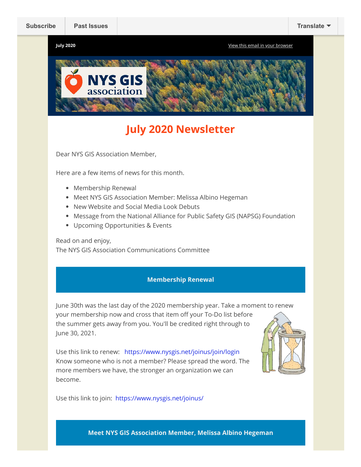**July 2020** [View this email in your browser](https://mailchi.mp/01ffb4ba84a1/newsletter-4226150?e=fca453a3fa)



# **July 2020 Newsletter**

Dear NYS GIS Association Member,

Here are a few items of news for this month.

- Membership Renewal
- Meet NYS GIS Association Member: Melissa Albino Hegeman
- New Website and Social Media Look Debuts
- Message from the National Alliance for Public Safety GIS (NAPSG) Foundation
- Upcoming Opportunities & Events

Read on and enjoy,

The NYS GIS Association Communications Committee

## **Membership Renewal**

June 30th was the last day of the 2020 membership year. Take a moment to renew your membership now and cross that item off your To-Do list before the summer gets away from you. You'll be credited right through to June 30, 2021.

Use this link to renew: <https://www.nysgis.net/joinus/join/login> Know someone who is not a member? Please spread the word. The more members we have, the stronger an organization we can become.



Use this link to join: <https://www.nysgis.net/joinus/>

**Meet NYS GIS Association Member, Melissa Albino Hegeman**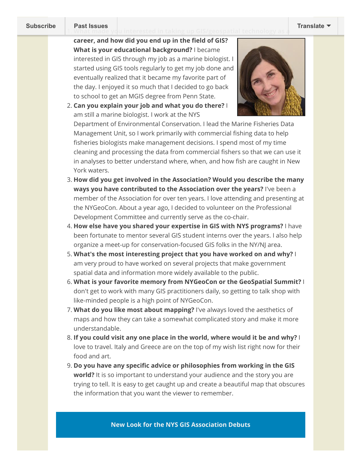1. **[What made yo](https://us9.campaign-archive.com/home/?u=79136ebe8b18b11ee073cc61c&id=83a9e475cf)u interested in taking up GIS/geospatial technology as a [Subscribe](http://eepurl.com/dPKLiT) Past Issues [Translate](javascript:;)**

career, and how did you end up in the field of GIS? **What is your educational background?** I became interested in GIS through my job as a marine biologist. I started using GIS tools regularly to get my job done and eventually realized that it became my favorite part of the day. I enjoyed it so much that I decided to go back to school to get an MGIS degree from Penn State.





Department of Environmental Conservation. I lead the Marine Fisheries Data Management Unit, so I work primarily with commercial fishing data to help fisheries biologists make management decisions. I spend most of my time cleaning and processing the data from commercial fishers so that we can use it in analyses to better understand where, when, and how fish are caught in New York waters.

- 3. **How did you get involved in the Association? Would you describe the many ways you have contributed to the Association over the years?** I've been a member of the Association for over ten years. I love attending and presenting at the NYGeoCon. About a year ago, I decided to volunteer on the Professional Development Committee and currently serve as the co-chair.
- 4. **How else have you shared your expertise in GIS with NYS programs?** I have been fortunate to mentor several GIS student interns over the years. I also help organize a meet-up for conservation-focused GIS folks in the NY/NJ area.
- 5. **What's the most interesting project that you have worked on and why?** I am very proud to have worked on several projects that make government spatial data and information more widely available to the public.
- 6. **What is your favorite memory from NYGeoCon or the GeoSpatial Summit?** I don't get to work with many GIS practitioners daily, so getting to talk shop with like-minded people is a high point of NYGeoCon.
- 7. **What do you like most about mapping?** I've always loved the aesthetics of maps and how they can take a somewhat complicated story and make it more understandable.
- 8. **If you could visit any one place in the world, where would it be and why?** I love to travel. Italy and Greece are on the top of my wish list right now for their food and art.
- 9. **Do you have any specic advice or philosophies from working in the GIS world?** It is so important to understand your audience and the story you are trying to tell. It is easy to get caught up and create a beautiful map that obscures the information that you want the viewer to remember.